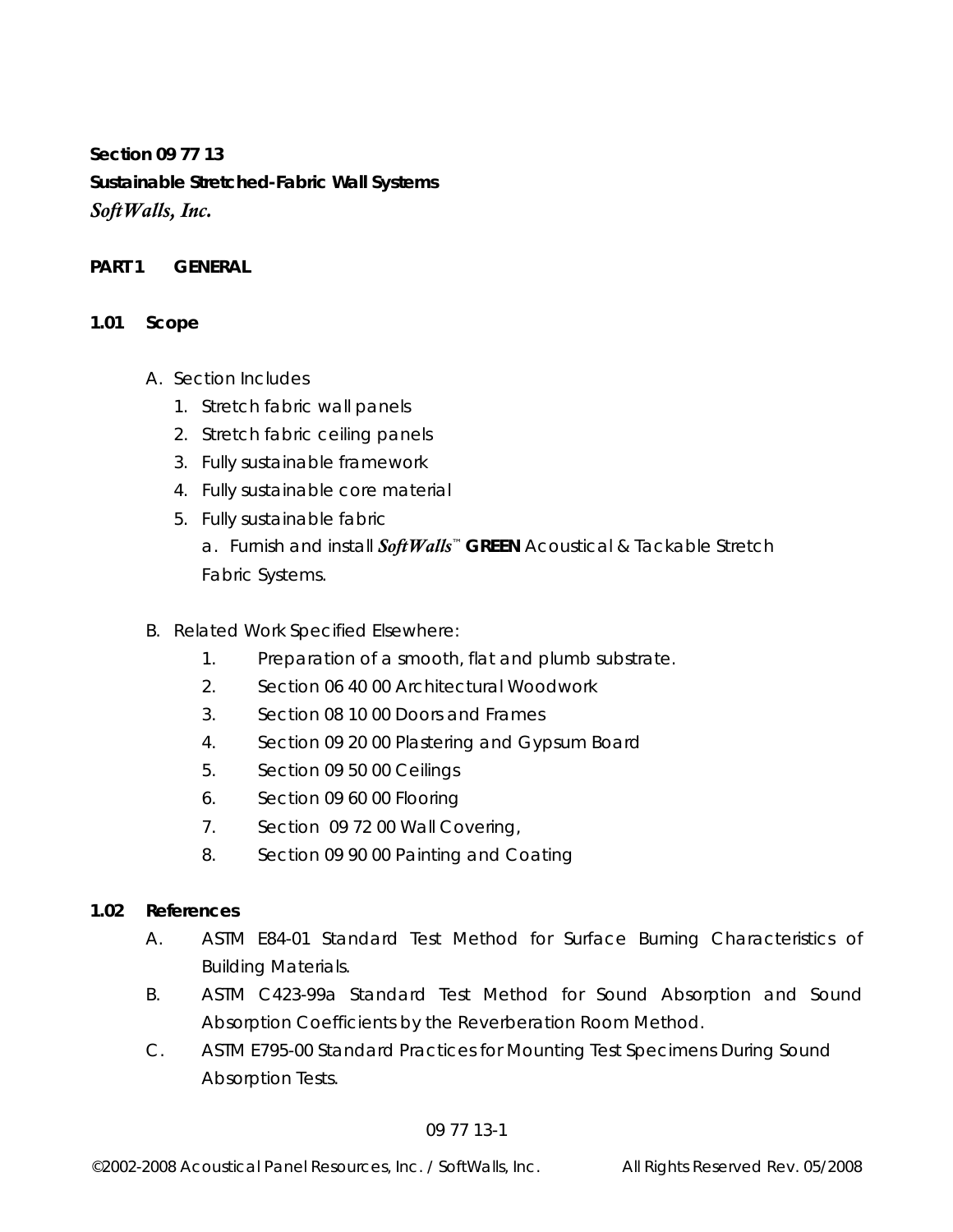**Section 09 77 13 Sustainable Stretched-Fabric Wall Systems**  *SoftWalls, Inc.* 

### **PART 1 GENERAL**

### **1.01 Scope**

- A. Section Includes
	- 1. Stretch fabric wall panels
	- 2. Stretch fabric ceiling panels
	- 3. Fully sustainable framework
	- 4. Fully sustainable core material
	- 5. Fully sustainable fabric

 a. Furnish and install *SoftWalls*™ **GREEN** Acoustical & Tackable Stretch Fabric Systems.

- B. Related Work Specified Elsewhere:
	- 1. Preparation of a smooth, flat and plumb substrate.
	- 2. Section 06 40 00 Architectural Woodwork
	- 3. Section 08 10 00 Doors and Frames
	- 4. Section 09 20 00 Plastering and Gypsum Board
	- 5. Section 09 50 00 Ceilings
	- 6. Section 09 60 00 Flooring
	- 7. Section 09 72 00 Wall Covering,
	- 8. Section 09 90 00 Painting and Coating

### **1.02 References**

- A. ASTM E84-01 Standard Test Method for Surface Burning Characteristics of Building Materials.
- B. ASTM C423-99a Standard Test Method for Sound Absorption and Sound Absorption Coefficients by the Reverberation Room Method.
- C. ASTM E795-00 Standard Practices for Mounting Test Specimens During Sound Absorption Tests.

### 09 77 13-1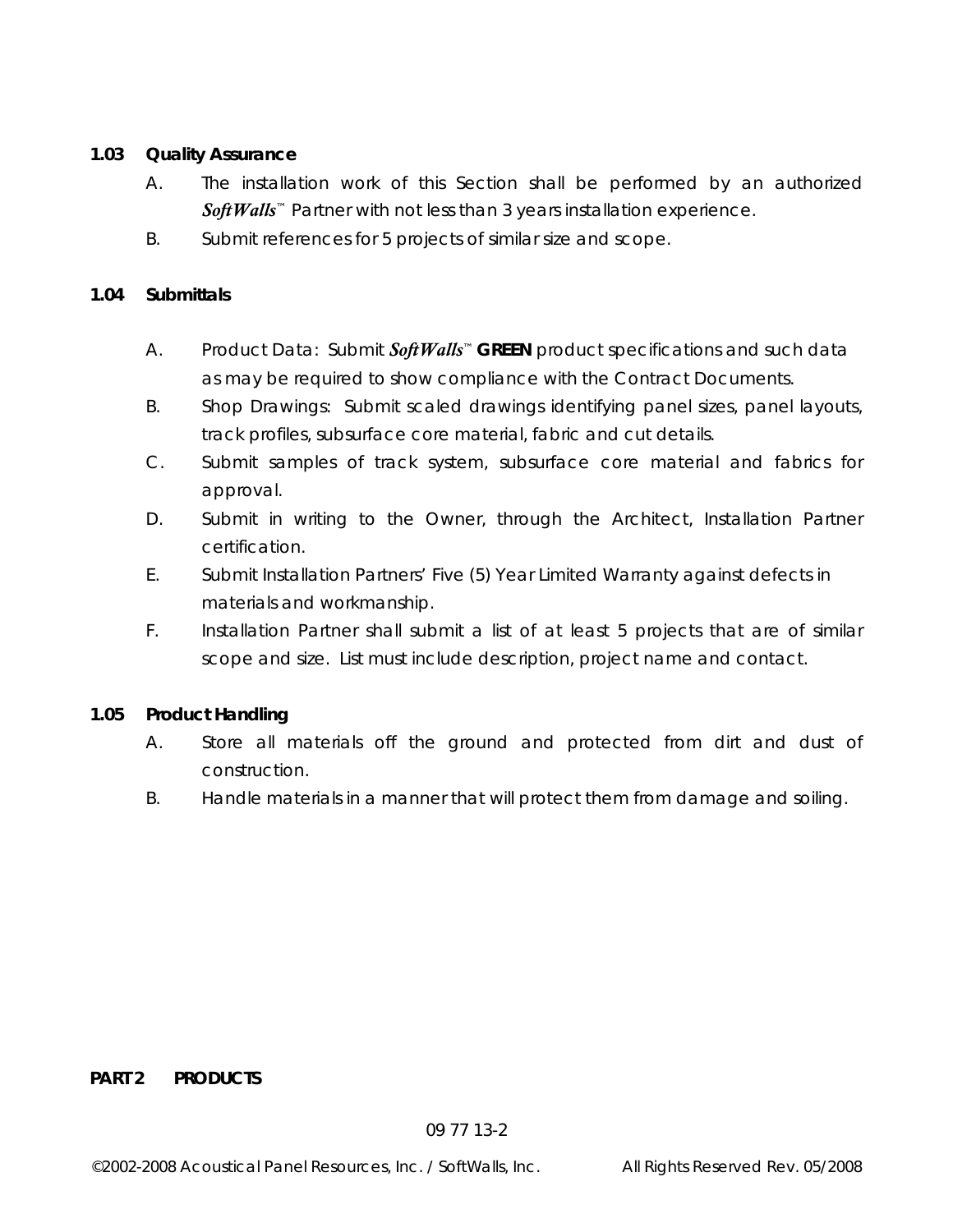# **1.03 Quality Assurance**

- A. The installation work of this Section shall be performed by an authorized Soft Walls<sup>™</sup> Partner with not less than 3 years installation experience.
- B. Submit references for 5 projects of similar size and scope.

## **1.04 Submittals**

- A. Product Data: Submit *SoftWalls*™ **GREEN** product specifications and such data as may be required to show compliance with the Contract Documents.
- B. Shop Drawings: Submit scaled drawings identifying panel sizes, panel layouts, track profiles, subsurface core material, fabric and cut details.
- C. Submit samples of track system, subsurface core material and fabrics for approval.
- D. Submit in writing to the Owner, through the Architect, Installation Partner certification.
- E. Submit Installation Partners' Five (5) Year Limited Warranty against defects in materials and workmanship.
- F. Installation Partner shall submit a list of at least 5 projects that are of similar scope and size. List must include description, project name and contact.

## **1.05 Product Handling**

- A. Store all materials off the ground and protected from dirt and dust of construction.
- B. Handle materials in a manner that will protect them from damage and soiling.

### **PART 2 PRODUCTS**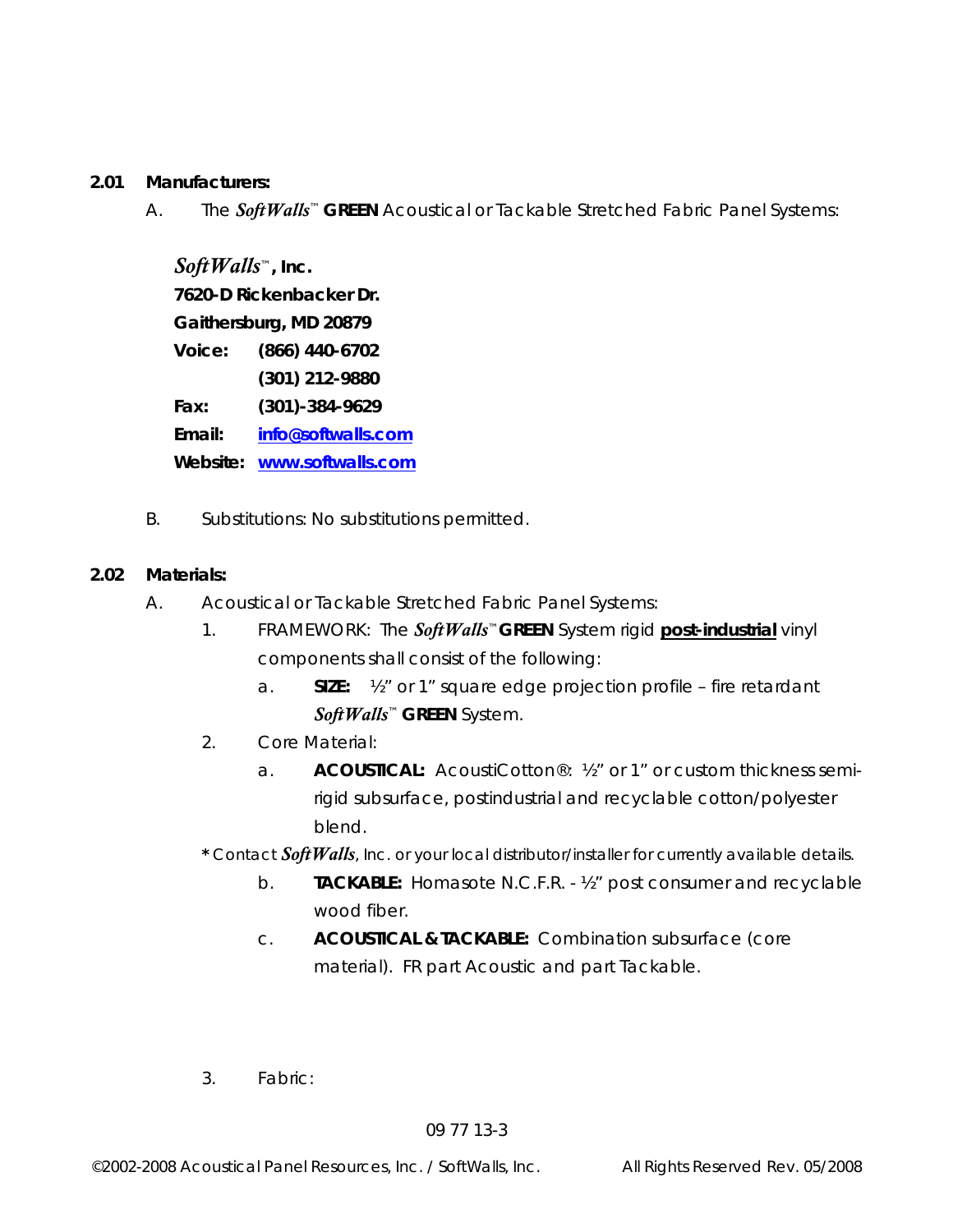### **2.01 Manufacturers:**

A. The *SoftWalls*™ **GREEN** Acoustical or Tackable Stretched Fabric Panel Systems:

 *SoftWalls*™**, Inc. 7620-D Rickenbacker Dr. Gaithersburg, MD 20879 Voice: (866) 440-6702 (301) 212-9880 Fax: (301)-384-9629 Email: info@softwalls.com Website: www.softwalls.com**

B.Substitutions: No substitutions permitted.

### **2.02 Materials:**

- A. Acoustical or Tackable Stretched Fabric Panel Systems:
	- 1. FRAMEWORK:The *SoftWalls*™**GREEN** System rigid **post-industrial** vinyl components shall consist of the following:
		- a. **SIZE:** ½" or 1" square edge projection profile fire retardant *SoftWalls*™ **GREEN** System.
	- 2. Core Material:
		- a. **ACOUSTICAL:** AcoustiCotton®: ½" or 1" or custom thickness semirigid subsurface, postindustrial and recyclable cotton/polyester blend.
	- **\*** Contact *SoftWalls*, Inc. or your local distributor/installer for currently available details.
		- b. **TACKABLE:** Homasote N.C.F.R. ½" post consumer and recyclable wood fiber.
		- c. **ACOUSTICAL & TACKABLE:** Combination subsurface (core material). FR part Acoustic and part Tackable.
	- 3. Fabric: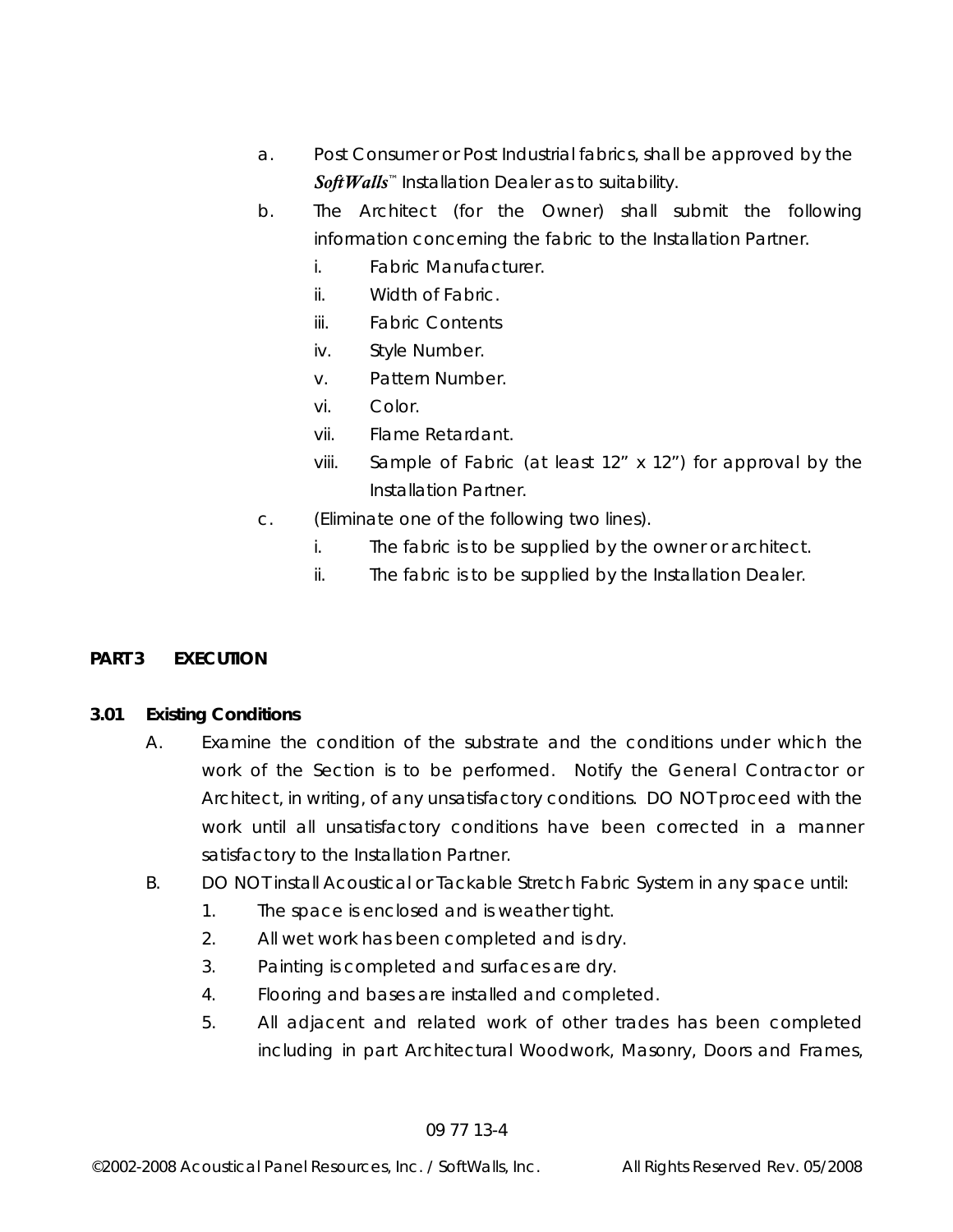- a. Post Consumer or Post Industrial fabrics, shall be approved by the *SoftWalls*™ Installation Dealer as to suitability.
- b. The Architect (for the Owner) shall submit the following information concerning the fabric to the Installation Partner.
	- i. Fabric Manufacturer.
	- ii. Width of Fabric.
	- iii. Fabric Contents
	- iv. Style Number.
	- v. Pattern Number.
	- vi. Color.
	- vii. Flame Retardant.
	- viii. Sample of Fabric (at least 12" x 12") for approval by the Installation Partner.
- c. (Eliminate one of the following two lines).
	- i. The fabric is to be supplied by the owner or architect.
	- ii. The fabric is to be supplied by the Installation Dealer.

## **PART 3 EXECUTION**

## **3.01 Existing Conditions**

- A. Examine the condition of the substrate and the conditions under which the work of the Section is to be performed. Notify the General Contractor or Architect, in writing, of any unsatisfactory conditions. DO NOT proceed with the work until all unsatisfactory conditions have been corrected in a manner satisfactory to the Installation Partner.
- B. DO NOT install Acoustical or Tackable Stretch Fabric System in any space until:
	- 1. The space is enclosed and is weather tight.
	- 2. All wet work has been completed and is dry.
	- 3. Painting is completed and surfaces are dry.
	- 4. Flooring and bases are installed and completed.
	- 5. All adjacent and related work of other trades has been completed including in part Architectural Woodwork, Masonry, Doors and Frames,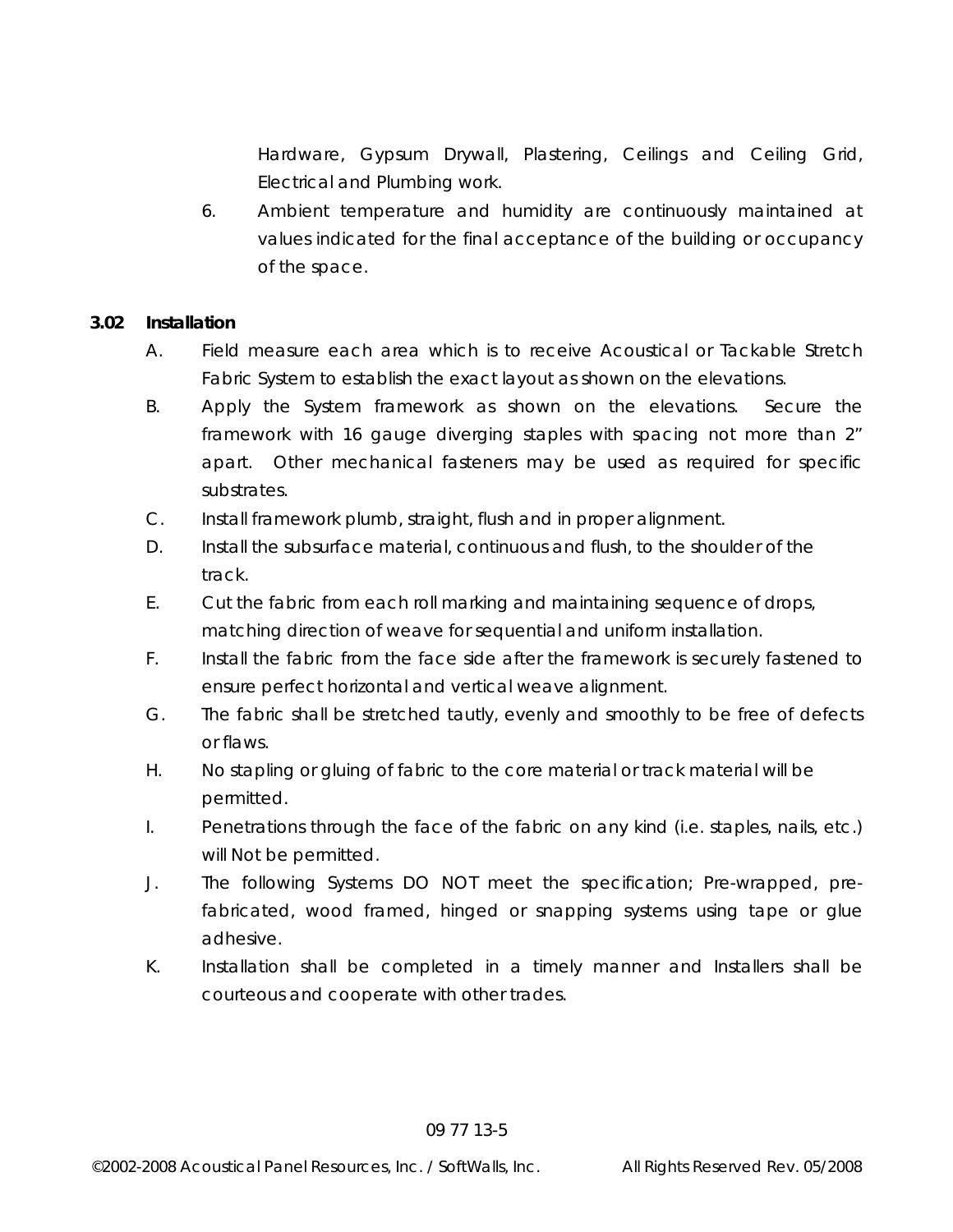Hardware, Gypsum Drywall, Plastering, Ceilings and Ceiling Grid, Electrical and Plumbing work.

 6. Ambient temperature and humidity are continuously maintained at values indicated for the final acceptance of the building or occupancy of the space.

### **3.02 Installation**

- A. Field measure each area which is to receive Acoustical or Tackable Stretch Fabric System to establish the exact layout as shown on the elevations.
- B. Apply the System framework as shown on the elevations. Secure the framework with 16 gauge diverging staples with spacing not more than 2" apart. Other mechanical fasteners may be used as required for specific substrates.
- C. Install framework plumb, straight, flush and in proper alignment.
- D. Install the subsurface material, continuous and flush, to the shoulder of the track.
- E. Cut the fabric from each roll marking and maintaining sequence of drops, matching direction of weave for sequential and uniform installation.
- F. Install the fabric from the face side after the framework is securely fastened to ensure perfect horizontal and vertical weave alignment.
- G. The fabric shall be stretched tautly, evenly and smoothly to be free of defects or flaws.
- H. No stapling or gluing of fabric to the core material or track material will be permitted.
- I. Penetrations through the face of the fabric on any kind (i.e. staples, nails, etc.) will Not be permitted.
- J. The following Systems DO NOT meet the specification; Pre-wrapped, prefabricated, wood framed, hinged or snapping systems using tape or glue adhesive.
- K. Installation shall be completed in a timely manner and Installers shall be courteous and cooperate with other trades.